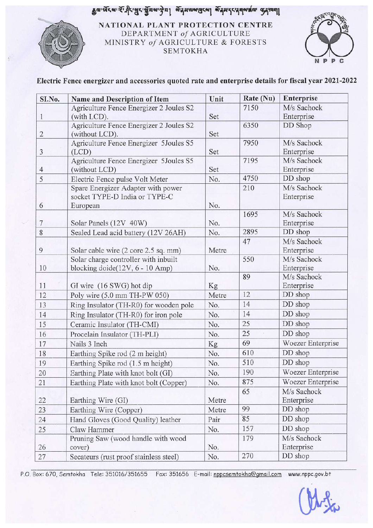# 



**NATIONAL PLANT PROTECTION CENTRE** DEPARTMENT of AGRICULTURE MINISTRY of AGRICULTURE & FORESTS SEMTOKHA



## **Electric Fence energizer and accessories quoted rate and enterprise details for fiscal year 2021-2022**

| SI.No.         | Name and Description of Item               | Unit  | Rate (Nu) | Enterprise        |
|----------------|--------------------------------------------|-------|-----------|-------------------|
|                | Agriculture Fence Energizer 2 Joules S2    |       | 7150      | M/s Sachock       |
| $\mathbf{1}$   | (with LCD).                                | Set   |           | Enterprise        |
|                | Agriculture Fence Energizer 2 Joules S2    |       | 6350      | DD Shop           |
| $\overline{2}$ | (without LCD).                             | Set   |           |                   |
|                | Agriculture Fence Energizer 5Joules S5     |       | 7950      | M/s Sachock       |
| 3              | (LCD)                                      | Set   |           | Enterprise        |
|                | Agriculture Fence Energizer 5Joules S5     |       | 7195      | M/s Sachock       |
| $\overline{4}$ | (without LCD)                              | Set   |           | Enterprise        |
| 5              | Electric Fence pulse Volt Meter            | No.   | 4750      | DD shop           |
|                | Spare Energizer Adapter with power         |       | 210       | M/s Sachock       |
|                | socket TYPE-D India or TYPE-C              |       |           | Enterprise        |
| 6              | European                                   | No.   | 1695      | M/s Sachock       |
| 7              | Solar Panels (12V 40W)                     | No.   |           | Enterprise        |
| 8              |                                            | No.   | 2895      | DD shop           |
|                | Sealed Lead acid battery (12V 26AH)        |       | 47        | M/s Sachock       |
| 9              | Solar cable wire (2 core 2.5 sq. mm)       | Metre |           | Enterprise        |
|                | Solar charge controller with inbuilt       |       | 550       | M/s Sachock       |
| 10             | blocking doide $(12V, 6 - 10 \text{ Amp})$ | No.   |           | Enterprise        |
|                |                                            |       | 89        | M/s Sachock       |
| 11             | GI wire (16 SWG) hot dip                   | Kg    |           | Enterprise        |
| 12             | Poly wire (5.0 mm TH-PW 050)               | Metre | 12        | DD shop           |
| 13             | Ring Insulator (TH-R0) for wooden pole     | No.   | 14        | DD shop           |
| 14             | Ring Insulator (TH-R0) for iron pole       | No.   | 14        | DD shop           |
| 15             | Ceramic Insulator (TH-CMI)                 | No.   | 25        | DD shop           |
| 16             | Procelain Insulator (TH-PLI)               | No.   | 25        | DD shop           |
| 17             | Nails 3 Inch                               | Kg    | 69        | Woezer Enterprise |
| 18             | Earthing Spike rod (2 m height)            | No.   | 610       | DD shop           |
| 19             | Earthing Spike rod (1.5 m height)          | No.   | 510       | DD shop           |
| 20             | Earthing Plate with knot bolt (GI)         | No.   | 190       | Woezer Enterprise |
| 21             | Earthing Plate with knot bolt (Copper)     | No.   | 875       | Woezer Enterprise |
|                |                                            |       | 65        | M/s Sachock       |
| 22             | Earthing Wire (GI)                         | Metre |           | Enterprise        |
| 23             | Earthing Wire (Copper)                     | Metre | 99        | DD shop           |
| 24             | Hand Gloves (Good Quality) leather         | Pair  | 85        | DD shop           |
| 25             | Claw Hammer                                | No.   | 157       | DD shop           |
|                | Pruning Saw (wood handle with wood         |       | 179       | M/s Sachock       |
| 26             | cover)                                     | No.   |           | Enterprise        |
| 27             | Secateurs (rust proof stainless steel)     | No.   | 270       | DD shop           |

P.O. Box: 670, Semtokha Tele: 351016/351655 Fax: 351656 E-mail: nppcsemtokha@gmail.com www.nppc.gov.bt